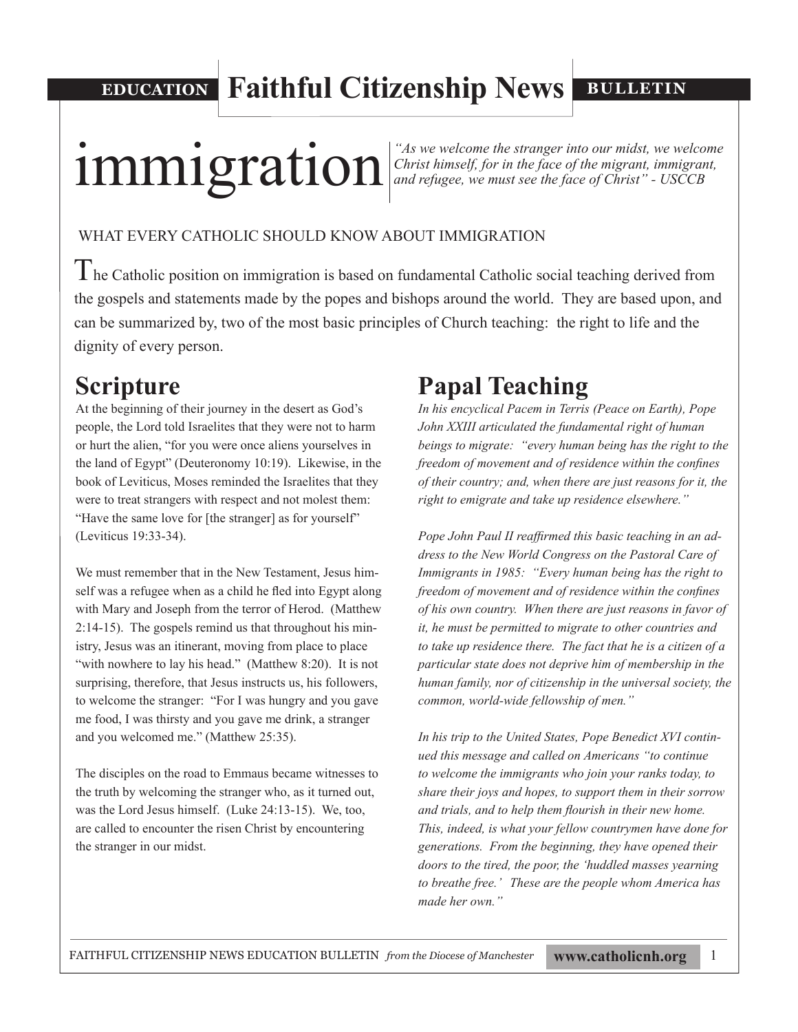**EDUCATION Faithful Citizenship News**

**BULLETIN**

# **immigration incredit in the face of the migrant**, immigrant, **in The Stranger into our midst**, we welcome  $\frac{1}{2}$  christ himself, for in the face of the migrant, immigrant,

*Christ himself, for in the face of the migrant, immigrant, and refugee, we must see the face of Christ" - USCCB*

#### WHAT EVERY CATHOLIC SHOULD KNOW ABOUT IMMIGRATION

 $T$ he Catholic position on immigration is based on fundamental Catholic social teaching derived from the gospels and statements made by the popes and bishops around the world. They are based upon, and can be summarized by, two of the most basic principles of Church teaching: the right to life and the dignity of every person.

# **Scripture**

At the beginning of their journey in the desert as God's people, the Lord told Israelites that they were not to harm or hurt the alien, "for you were once aliens yourselves in the land of Egypt" (Deuteronomy 10:19). Likewise, in the book of Leviticus, Moses reminded the Israelites that they were to treat strangers with respect and not molest them: "Have the same love for [the stranger] as for yourself" (Leviticus 19:33-34).

We must remember that in the New Testament, Jesus himself was a refugee when as a child he fled into Egypt along with Mary and Joseph from the terror of Herod. (Matthew 2:14-15). The gospels remind us that throughout his ministry, Jesus was an itinerant, moving from place to place "with nowhere to lay his head." (Matthew 8:20). It is not surprising, therefore, that Jesus instructs us, his followers, to welcome the stranger: "For I was hungry and you gave me food, I was thirsty and you gave me drink, a stranger and you welcomed me." (Matthew 25:35).

The disciples on the road to Emmaus became witnesses to the truth by welcoming the stranger who, as it turned out, was the Lord Jesus himself. (Luke 24:13-15). We, too, are called to encounter the risen Christ by encountering the stranger in our midst.

# **Papal Teaching**

*In his encyclical Pacem in Terris (Peace on Earth), Pope John XXIII articulated the fundamental right of human beings to migrate: "every human being has the right to the freedom of movement and of residence within the confines of their country; and, when there are just reasons for it, the right to emigrate and take up residence elsewhere."* 

*Pope John Paul II reaffirmed this basic teaching in an address to the New World Congress on the Pastoral Care of Immigrants in 1985: "Every human being has the right to freedom of movement and of residence within the confines of his own country. When there are just reasons in favor of it, he must be permitted to migrate to other countries and to take up residence there. The fact that he is a citizen of a particular state does not deprive him of membership in the human family, nor of citizenship in the universal society, the common, world-wide fellowship of men."* 

*In his trip to the United States, Pope Benedict XVI continued this message and called on Americans "to continue to welcome the immigrants who join your ranks today, to share their joys and hopes, to support them in their sorrow and trials, and to help them flourish in their new home. This, indeed, is what your fellow countrymen have done for generations. From the beginning, they have opened their doors to the tired, the poor, the 'huddled masses yearning to breathe free.' These are the people whom America has made her own."*